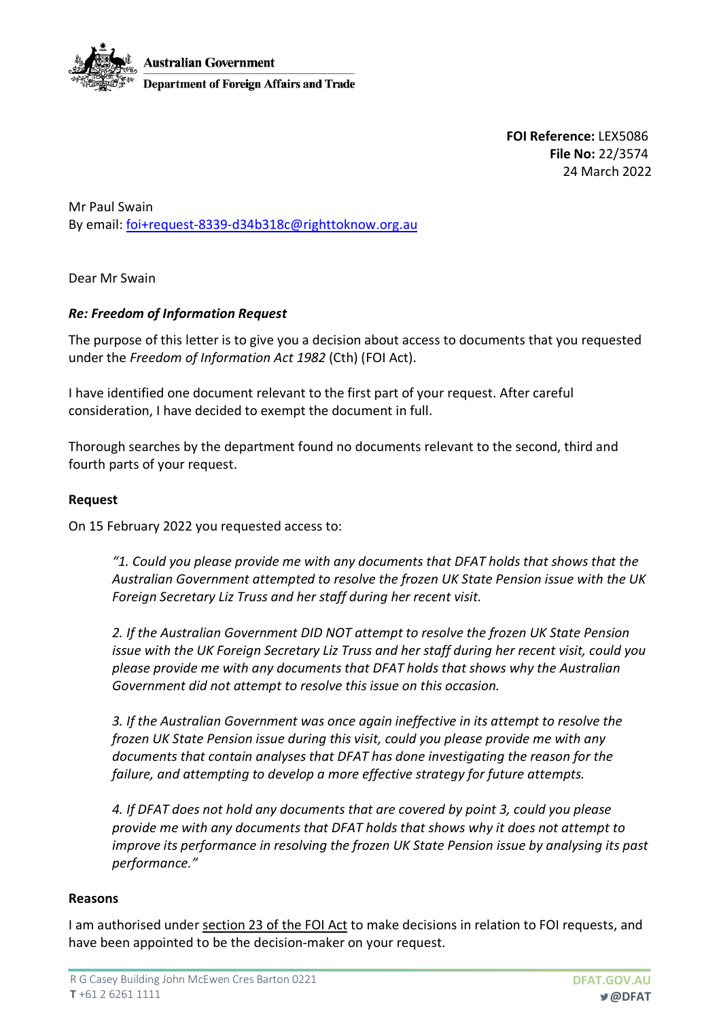

**FOI Reference:** LEX5086 **File No:** 22/3574 24 March 2022

Mr Paul Swain By email: foi+request-8339-d34b318c@righttoknow.org.au

Dear Mr Swain

# *Re: Freedom of Information Request*

The purpose of this letter is to give you a decision about access to documents that you requested under the *Freedom of Information Act 1982* (Cth) (FOI Act).

I have identified one document relevant to the first part of your request. After careful consideration, I have decided to exempt the document in full.

Thorough searches by the department found no documents relevant to the second, third and fourth parts of your request.

## **Request**

On 15 February 2022 you requested access to:

*"1. Could you please provide me with any documents that DFAT holds that shows that the Australian Government attempted to resolve the frozen UK State Pension issue with the UK Foreign Secretary Liz Truss and her staff during her recent visit.*

*2. If the Australian Government DID NOT attempt to resolve the frozen UK State Pension issue with the UK Foreign Secretary Liz Truss and her staff during her recent visit, could you please provide me with any documents that DFAT holds that shows why the Australian Government did not attempt to resolve this issue on this occasion.*

*3. If the Australian Government was once again ineffective in its attempt to resolve the frozen UK State Pension issue during this visit, could you please provide me with any documents that contain analyses that DFAT has done investigating the reason for the failure, and attempting to develop a more effective strategy for future attempts.*

*4. If DFAT does not hold any documents that are covered by point 3, could you please provide me with any documents that DFAT holds that shows why it does not attempt to improve its performance in resolving the frozen UK State Pension issue by analysing its past performance."* 

### **Reasons**

I am authorised under section 23 of the FOI Act to make decisions in relation to FOI requests, and have been appointed to be the decision-maker on your request.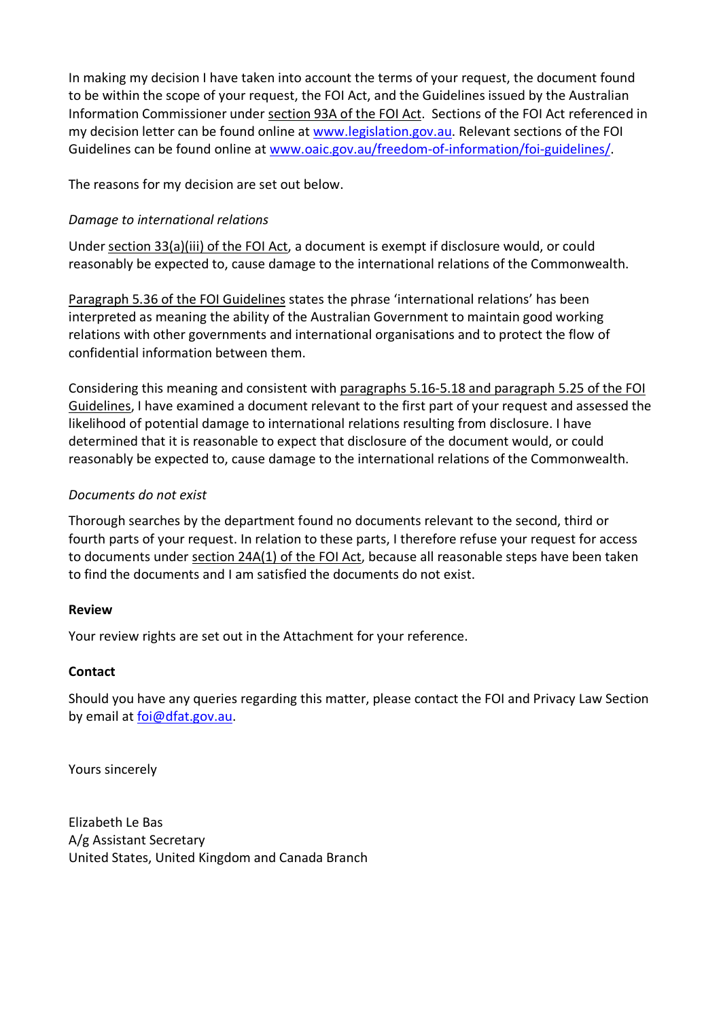In making my decision I have taken into account the terms of your request, the document found to be within the scope of your request, the FOI Act, and the Guidelines issued by the Australian Information Commissioner under section 93A of the FOI Act. Sections of the FOI Act referenced in my decision letter can be found online at www.legislation.gov.au. Relevant sections of the FOI Guidelines can be found online at www.oaic.gov.au/freedom-of-information/foi-guidelines/.

The reasons for my decision are set out below.

# *Damage to international relations*

Under section 33(a)(iii) of the FOI Act, a document is exempt if disclosure would, or could reasonably be expected to, cause damage to the international relations of the Commonwealth.

Paragraph 5.36 of the FOI Guidelines states the phrase 'international relations' has been interpreted as meaning the ability of the Australian Government to maintain good working relations with other governments and international organisations and to protect the flow of confidential information between them.

Considering this meaning and consistent with paragraphs 5.16-5.18 and paragraph 5.25 of the FOI Guidelines, I have examined a document relevant to the first part of your request and assessed the likelihood of potential damage to international relations resulting from disclosure. I have determined that it is reasonable to expect that disclosure of the document would, or could reasonably be expected to, cause damage to the international relations of the Commonwealth.

## *Documents do not exist*

Thorough searches by the department found no documents relevant to the second, third or fourth parts of your request. In relation to these parts, I therefore refuse your request for access to documents under section 24A(1) of the FOI Act, because all reasonable steps have been taken to find the documents and I am satisfied the documents do not exist.

### **Review**

Your review rights are set out in the Attachment for your reference.

### **Contact**

Should you have any queries regarding this matter, please contact the FOI and Privacy Law Section by email at foi@dfat.gov.au.

Yours sincerely

Elizabeth Le Bas A/g Assistant Secretary United States, United Kingdom and Canada Branch